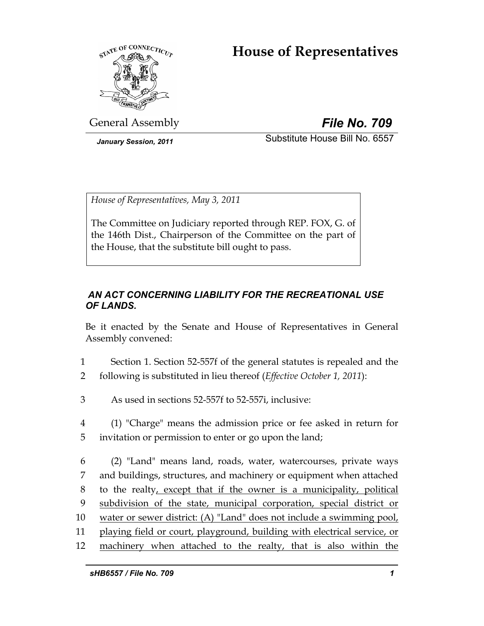# **House of Representatives**



General Assembly *File No. 709*

*January Session, 2011* Substitute House Bill No. 6557

*House of Representatives, May 3, 2011* 

The Committee on Judiciary reported through REP. FOX, G. of the 146th Dist., Chairperson of the Committee on the part of the House, that the substitute bill ought to pass.

# *AN ACT CONCERNING LIABILITY FOR THE RECREATIONAL USE OF LANDS.*

Be it enacted by the Senate and House of Representatives in General Assembly convened:

- 1 Section 1. Section 52-557f of the general statutes is repealed and the 2 following is substituted in lieu thereof (*Effective October 1, 2011*):
- 3 As used in sections 52-557f to 52-557i, inclusive:
- 4 (1) "Charge" means the admission price or fee asked in return for 5 invitation or permission to enter or go upon the land;
- 6 (2) "Land" means land, roads, water, watercourses, private ways 7 and buildings, structures, and machinery or equipment when attached 8 to the realty, except that if the owner is a municipality, political 9 subdivision of the state, municipal corporation, special district or 10 water or sewer district: (A) "Land" does not include a swimming pool, 11 playing field or court, playground, building with electrical service, or 12 machinery when attached to the realty, that is also within the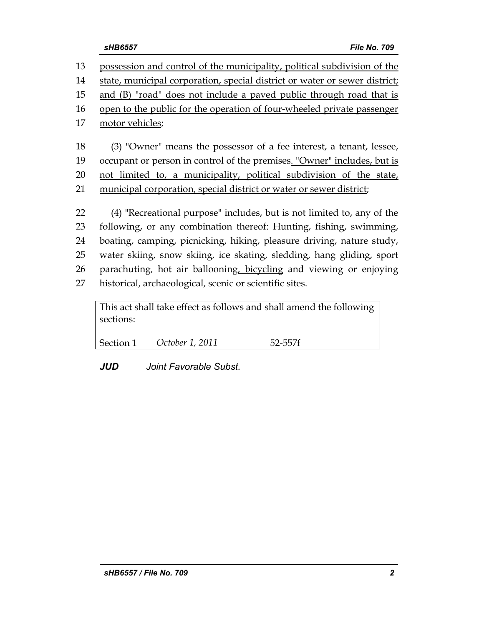| 13 | possession and control of the municipality, political subdivision of the   |
|----|----------------------------------------------------------------------------|
| 14 | state, municipal corporation, special district or water or sewer district; |
| 15 | and (B) "road" does not include a paved public through road that is        |
| 16 | open to the public for the operation of four-wheeled private passenger     |
| 17 | motor vehicles;                                                            |
|    |                                                                            |
| 18 | (3) "Owner" means the possessor of a fee interest, a tenant, lessee,       |
| 19 | occupant or person in control of the premises. "Owner" includes, but is    |
| 20 | not limited to, a municipality, political subdivision of the state,        |
| 21 | municipal corporation, special district or water or sewer district;        |
|    |                                                                            |
| 22 | (4) "Recreational purpose" includes, but is not limited to, any of the     |
| 23 | following, or any combination thereof: Hunting, fishing, swimming,         |
| 24 | boating, camping, picnicking, hiking, pleasure driving, nature study,      |
| 25 | water skiing, snow skiing, ice skating, sledding, hang gliding, sport      |
| 26 | parachuting, hot air ballooning, bicycling and viewing or enjoying         |
| 27 | historical, archaeological, scenic or scientific sites.                    |
|    |                                                                            |

| This act shall take effect as follows and shall amend the following |                        |         |  |  |  |  |  |
|---------------------------------------------------------------------|------------------------|---------|--|--|--|--|--|
| sections:                                                           |                        |         |  |  |  |  |  |
|                                                                     |                        |         |  |  |  |  |  |
| Section 1                                                           | <i>October 1, 2011</i> | 52-557f |  |  |  |  |  |

*JUD Joint Favorable Subst.*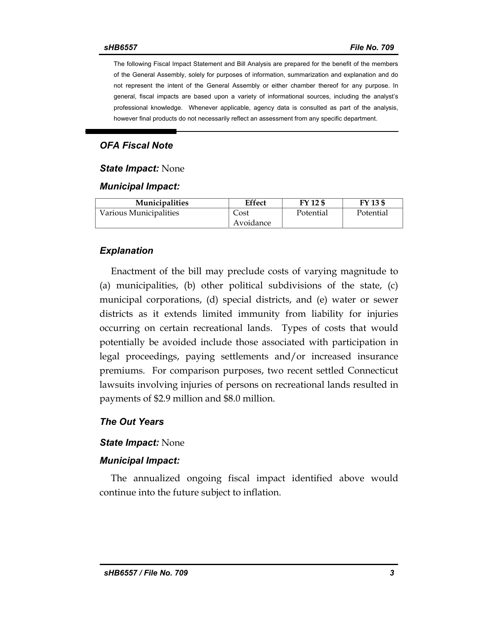The following Fiscal Impact Statement and Bill Analysis are prepared for the benefit of the members of the General Assembly, solely for purposes of information, summarization and explanation and do not represent the intent of the General Assembly or either chamber thereof for any purpose. In general, fiscal impacts are based upon a variety of informational sources, including the analyst's professional knowledge. Whenever applicable, agency data is consulted as part of the analysis, however final products do not necessarily reflect an assessment from any specific department.

# *OFA Fiscal Note*

#### *State Impact:* None

### *Municipal Impact:*

| <b>Municipalities</b>  | Effect    | FY 12 \$  | FY 13 \$  |
|------------------------|-----------|-----------|-----------|
| Various Municipalities | Cost      | Potential | Potential |
|                        | Avoidance |           |           |

### *Explanation*

Enactment of the bill may preclude costs of varying magnitude to (a) municipalities, (b) other political subdivisions of the state, (c) municipal corporations, (d) special districts, and (e) water or sewer districts as it extends limited immunity from liability for injuries occurring on certain recreational lands. Types of costs that would potentially be avoided include those associated with participation in legal proceedings, paying settlements and/or increased insurance premiums. For comparison purposes, two recent settled Connecticut lawsuits involving injuries of persons on recreational lands resulted in payments of \$2.9 million and \$8.0 million.

### *The Out Years*

### *State Impact:* None

### *Municipal Impact:*

The annualized ongoing fiscal impact identified above would continue into the future subject to inflation.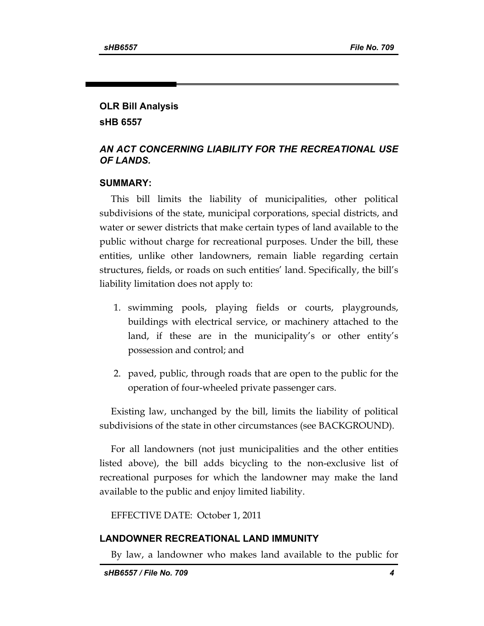# **OLR Bill Analysis sHB 6557**

## *AN ACT CONCERNING LIABILITY FOR THE RECREATIONAL USE OF LANDS.*

## **SUMMARY:**

This bill limits the liability of municipalities, other political subdivisions of the state, municipal corporations, special districts, and water or sewer districts that make certain types of land available to the public without charge for recreational purposes. Under the bill, these entities, unlike other landowners, remain liable regarding certain structures, fields, or roads on such entities' land. Specifically, the bill's liability limitation does not apply to:

- 1. swimming pools, playing fields or courts, playgrounds, buildings with electrical service, or machinery attached to the land, if these are in the municipality's or other entity's possession and control; and
- 2. paved, public, through roads that are open to the public for the operation of four-wheeled private passenger cars.

Existing law, unchanged by the bill, limits the liability of political subdivisions of the state in other circumstances (see BACKGROUND).

For all landowners (not just municipalities and the other entities listed above), the bill adds bicycling to the non-exclusive list of recreational purposes for which the landowner may make the land available to the public and enjoy limited liability.

EFFECTIVE DATE: October 1, 2011

# **LANDOWNER RECREATIONAL LAND IMMUNITY**

By law, a landowner who makes land available to the public for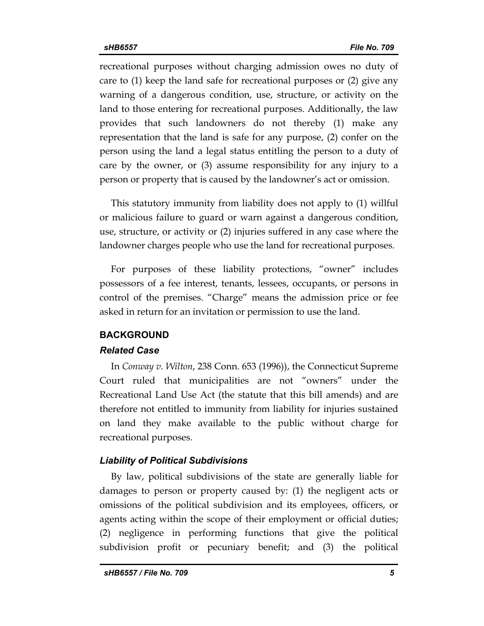recreational purposes without charging admission owes no duty of care to (1) keep the land safe for recreational purposes or (2) give any warning of a dangerous condition, use, structure, or activity on the land to those entering for recreational purposes. Additionally, the law provides that such landowners do not thereby (1) make any representation that the land is safe for any purpose, (2) confer on the person using the land a legal status entitling the person to a duty of care by the owner, or (3) assume responsibility for any injury to a person or property that is caused by the landowner's act or omission.

This statutory immunity from liability does not apply to (1) willful or malicious failure to guard or warn against a dangerous condition, use, structure, or activity or (2) injuries suffered in any case where the landowner charges people who use the land for recreational purposes.

For purposes of these liability protections, "owner" includes possessors of a fee interest, tenants, lessees, occupants, or persons in control of the premises. "Charge" means the admission price or fee asked in return for an invitation or permission to use the land.

### **BACKGROUND**

### *Related Case*

In *Conway v. Wilton*, 238 Conn. 653 (1996)), the Connecticut Supreme Court ruled that municipalities are not "owners" under the Recreational Land Use Act (the statute that this bill amends) and are therefore not entitled to immunity from liability for injuries sustained on land they make available to the public without charge for recreational purposes.

### *Liability of Political Subdivisions*

By law, political subdivisions of the state are generally liable for damages to person or property caused by: (1) the negligent acts or omissions of the political subdivision and its employees, officers, or agents acting within the scope of their employment or official duties; (2) negligence in performing functions that give the political subdivision profit or pecuniary benefit; and (3) the political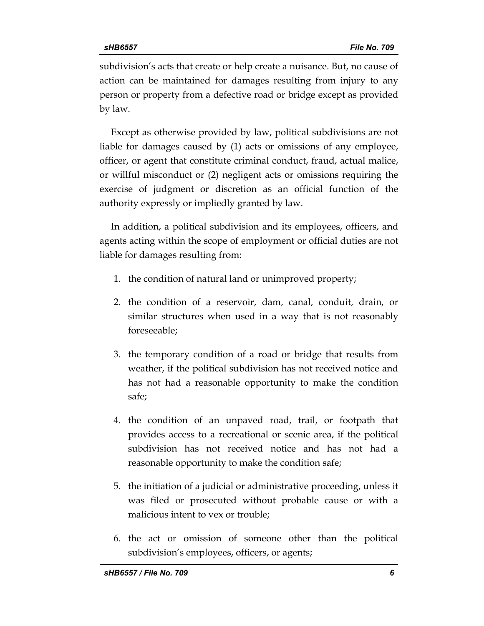subdivision's acts that create or help create a nuisance. But, no cause of action can be maintained for damages resulting from injury to any person or property from a defective road or bridge except as provided by law.

Except as otherwise provided by law, political subdivisions are not liable for damages caused by (1) acts or omissions of any employee, officer, or agent that constitute criminal conduct, fraud, actual malice, or willful misconduct or (2) negligent acts or omissions requiring the exercise of judgment or discretion as an official function of the authority expressly or impliedly granted by law.

In addition, a political subdivision and its employees, officers, and agents acting within the scope of employment or official duties are not liable for damages resulting from:

- 1. the condition of natural land or unimproved property;
- 2. the condition of a reservoir, dam, canal, conduit, drain, or similar structures when used in a way that is not reasonably foreseeable;
- 3. the temporary condition of a road or bridge that results from weather, if the political subdivision has not received notice and has not had a reasonable opportunity to make the condition safe;
- 4. the condition of an unpaved road, trail, or footpath that provides access to a recreational or scenic area, if the political subdivision has not received notice and has not had a reasonable opportunity to make the condition safe;
- 5. the initiation of a judicial or administrative proceeding, unless it was filed or prosecuted without probable cause or with a malicious intent to vex or trouble;
- 6. the act or omission of someone other than the political subdivision's employees, officers, or agents;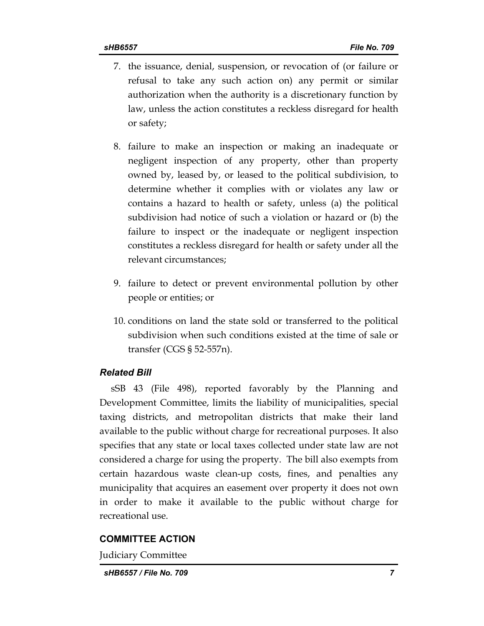- 7. the issuance, denial, suspension, or revocation of (or failure or refusal to take any such action on) any permit or similar authorization when the authority is a discretionary function by law, unless the action constitutes a reckless disregard for health or safety;
- 8. failure to make an inspection or making an inadequate or negligent inspection of any property, other than property owned by, leased by, or leased to the political subdivision, to determine whether it complies with or violates any law or contains a hazard to health or safety, unless (a) the political subdivision had notice of such a violation or hazard or (b) the failure to inspect or the inadequate or negligent inspection constitutes a reckless disregard for health or safety under all the relevant circumstances;
- 9. failure to detect or prevent environmental pollution by other people or entities; or
- 10. conditions on land the state sold or transferred to the political subdivision when such conditions existed at the time of sale or transfer (CGS § 52-557n).

# *Related Bill*

sSB 43 (File 498), reported favorably by the Planning and Development Committee, limits the liability of municipalities, special taxing districts, and metropolitan districts that make their land available to the public without charge for recreational purposes. It also specifies that any state or local taxes collected under state law are not considered a charge for using the property. The bill also exempts from certain hazardous waste clean-up costs, fines, and penalties any municipality that acquires an easement over property it does not own in order to make it available to the public without charge for recreational use.

# **COMMITTEE ACTION**

Judiciary Committee